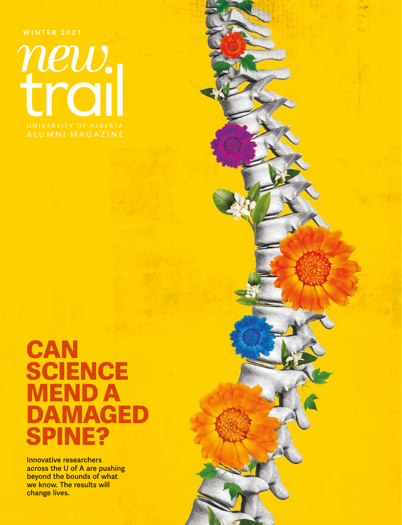WINTER 2021

new.

 $-1$ 

# **CAN SCIENCE** 1END A **AMAGED** SPINE?

Innovative researchers across the U of A are pushing beyond the bounds of what we know. The results will change lives.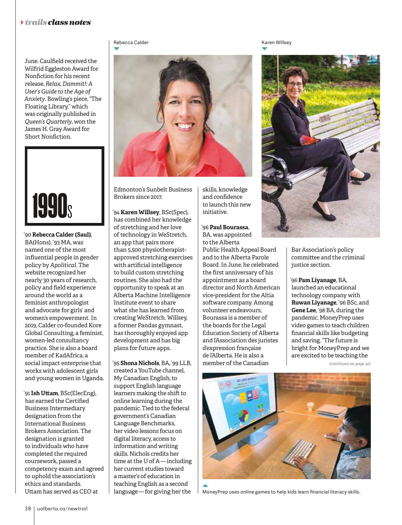### }*trails class notes*

June. Caulfield received the Wilfrid Eggleston Award for Nonfiction for his recent release, *Relax, Dammit!: A User's Guide to the Age of Anxiety*. Bowling's piece, "The Floating Library," which was originally published in *Queen's Quarterly*, won the James H. Gray Award for Short Nonfiction.



'90 **Rebecca Calder (Saul)**, BA(Hons), '93 MA, was named one of the most influential people in gender policy by *Apolitical*. The website recognized her nearly 30 years of research, policy and field experience around the world as a feminist anthropologist and advocate for girls' and women's empowerment. In 2019, Calder co-founded Kore Global Consulting, a feminist, women-led consultancy practice. She is also a board member of KadAfrica, a social impact enterprise that works with adolescent girls and young women in Uganda.

'91 **Ish Uttam**, BSc(ElecEng), has earned the Certified Business Intermediary designation from the International Business Brokers Association. The designation is granted to individuals who have completed the required coursework, passed a competency exam and agreed to uphold the association's ethics and standards. Uttam has served as CEO at



skills, knowledge and confidence to launch this new initiative.

'96 **Paul Bourassa**, BA, was appointed to the Alberta

Public Health Appeal Board and to the Alberta Parole Board. In June, he celebrated the first anniversary of his appointment as a board director and North American vice-president for the Altia software company. Among volunteer endeavours, Bourassa is a member of the boards for the Legal Education Society of Alberta and l'Association des juristes d'expression française de l'Alberta. He is also a member of the Canadian

Edmonton's Sunbelt Business Brokers since 2017.

'94 **Karen Willsey**, BSc(Spec), has combined her knowledge of stretching and her love of technology in WeStretch, an app that pairs more than 5,500 physiotherapistapproved stretching exercises with artificial intelligence to build custom stretching routines. She also had the opportunity to speak at an Alberta Machine Intelligence Institute event to share what she has learned from creating WeStretch. Willsey, a former Pandas gymnast, has thoroughly enjoyed app development and has big plans for future apps.

'95 **Shona Nichols**, BA, '99 LLB, created a YouTube channel, My Canadian English, to support English language learners making the shift to online learning during the pandemic. Tied to the federal government's Canadian Language Benchmarks, her video lessons focus on digital literacy, access to information and writing skills. Nichols credits her time at the U of A — including her current studies toward a master's of education in teaching English as a second language — for giving her the

Rebecca Calder National Communication of the Karen Willsey Karen Willsey



Bar Association's policy committee and the criminal justice section.

'96 **Pam Liyanage**, BA, launched an educational technology company with **Ruwan Liyanage**, '96 BSc, and **Gene Lee**, '98 BA, during the pandemic. MoneyPrep uses video games to teach children financial skills like budgeting and saving. "The future is bright for MoneyPrep and we are excited to be teaching the

*(continues on page 40)*



MoneyPrep uses online games to help kids learn financial literacy skills.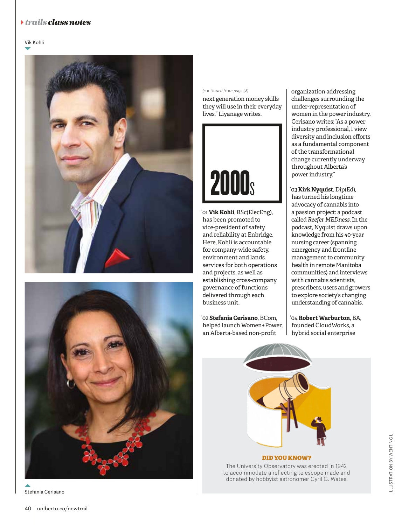## }*trails class notes*

#### Vik Kohli







#### *(continued from page 38)*

next generation money skills they will use in their everyday lives," Liyanage writes.



'01 **Vik Kohli**, BSc(ElecEng), has been promoted to vice-president of safety and reliability at Enbridge. Here, Kohli is accountable for company-wide safety, environment and lands services for both operations and projects, as well as establishing cross-company governance of functions delivered through each business unit.

'02 **Stefania Cerisano**, BCom, helped launch Women+Power, an Alberta-based non-profit

organization addressing challenges surrounding the under-representation of women in the power industry. Cerisano writes: "As a power industry professional, I view diversity and inclusion efforts as a fundamental component of the transformational change currently underway throughout Alberta's power industry."

'03 **Kirk Nyquist**, Dip(Ed), has turned his longtime advocacy of cannabis into a passion project: a podcast called *Reefer MEDness*. In the podcast, Nyquist draws upon knowledge from his 40-year nursing career (spanning emergency and frontline management to community health in remote Manitoba communities) and interviews with cannabis scientists, prescribers, users and growers to explore society's changing understanding of cannabis.

'04 **Robert Warburton**, BA, founded CloudWorks, a hybrid social enterprise



The University Observatory was erected in 1942 to accommodate a reflecting telescope made and donated by hobbyist astronomer Cyril G. Wates.